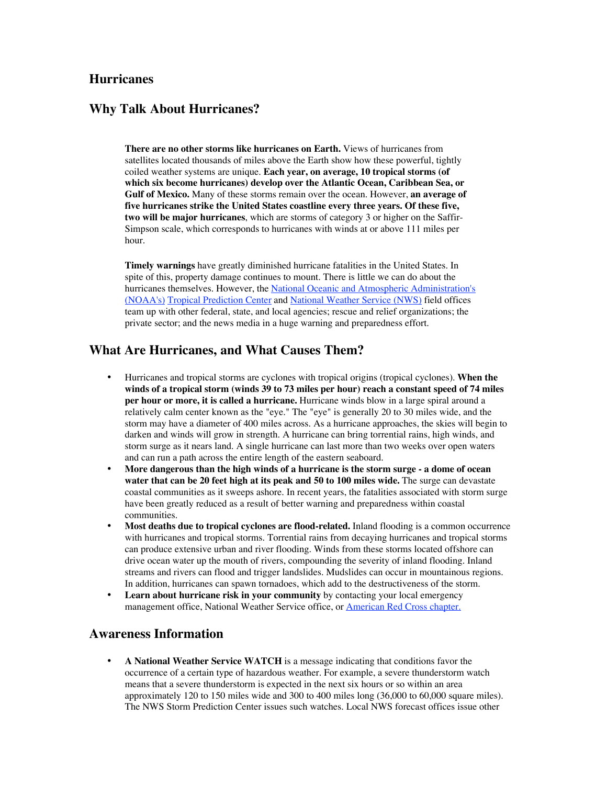# **Hurricanes**

# **Why Talk About Hurricanes?**

**There are no other storms like hurricanes on Earth.** Views of hurricanes from satellites located thousands of miles above the Earth show how these powerful, tightly coiled weather systems are unique. **Each year, on average, 10 tropical storms (of which six become hurricanes) develop over the Atlantic Ocean, Caribbean Sea, or Gulf of Mexico.** Many of these storms remain over the ocean. However, **an average of five hurricanes strike the United States coastline every three years. Of these five, two will be major hurricanes**, which are storms of category 3 or higher on the Saffir-Simpson scale, which corresponds to hurricanes with winds at or above 111 miles per hour.

**Timely warnings** have greatly diminished hurricane fatalities in the United States. In spite of this, property damage continues to mount. There is little we can do about the hurricanes themselves. However, the National Oceanic and Atmospheric Administration's (NOAA's) Tropical Prediction Center and National Weather Service (NWS) field offices team up with other federal, state, and local agencies; rescue and relief organizations; the private sector; and the news media in a huge warning and preparedness effort.

### **What Are Hurricanes, and What Causes Them?**

Hurricanes and tropical storms are cyclones with tropical origins (tropical cyclones). **When the winds of a tropical storm (winds 39 to 73 miles per hour) reach a constant speed of 74 miles per hour or more, it is called a hurricane.** Hurricane winds blow in a large spiral around a relatively calm center known as the "eye." The "eye" is generally 20 to 30 miles wide, and the storm may have a diameter of 400 miles across. As a hurricane approaches, the skies will begin to darken and winds will grow in strength. A hurricane can bring torrential rains, high winds, and storm surge as it nears land. A single hurricane can last more than two weeks over open waters and can run a path across the entire length of the eastern seaboard.

**More dangerous than the high winds of a hurricane is the storm surge - a dome of ocean water that can be 20 feet high at its peak and 50 to 100 miles wide.** The surge can devastate coastal communities as it sweeps ashore. In recent years, the fatalities associated with storm surge have been greatly reduced as a result of better warning and preparedness within coastal communities.

**Most deaths due to tropical cyclones are flood-related.** Inland flooding is a common occurrence with hurricanes and tropical storms. Torrential rains from decaying hurricanes and tropical storms can produce extensive urban and river flooding. Winds from these storms located offshore can drive ocean water up the mouth of rivers, compounding the severity of inland flooding. Inland streams and rivers can flood and trigger landslides. Mudslides can occur in mountainous regions. In addition, hurricanes can spawn tornadoes, which add to the destructiveness of the storm. **Learn about hurricane risk in your community** by contacting your local emergency management office, National Weather Service office, or American Red Cross chapter.

# **Awareness Information**

**A National Weather Service WATCH** is a message indicating that conditions favor the occurrence of a certain type of hazardous weather. For example, a severe thunderstorm watch means that a severe thunderstorm is expected in the next six hours or so within an area approximately 120 to 150 miles wide and 300 to 400 miles long (36,000 to 60,000 square miles). The NWS Storm Prediction Center issues such watches. Local NWS forecast offices issue other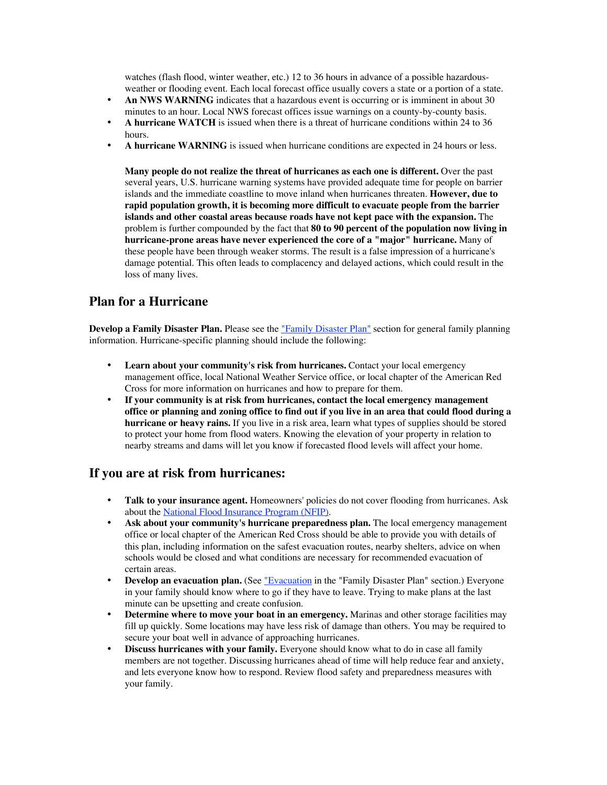watches (flash flood, winter weather, etc.) 12 to 36 hours in advance of a possible hazardousweather or flooding event. Each local forecast office usually covers a state or a portion of a state. **An NWS WARNING** indicates that a hazardous event is occurring or is imminent in about 30 minutes to an hour. Local NWS forecast offices issue warnings on a county-by-county basis. **A hurricane WATCH** is issued when there is a threat of hurricane conditions within 24 to 36 hours.

**A hurricane WARNING** is issued when hurricane conditions are expected in 24 hours or less.

**Many people do not realize the threat of hurricanes as each one is different.** Over the past several years, U.S. hurricane warning systems have provided adequate time for people on barrier islands and the immediate coastline to move inland when hurricanes threaten. **However, due to rapid population growth, it is becoming more difficult to evacuate people from the barrier islands and other coastal areas because roads have not kept pace with the expansion.** The problem is further compounded by the fact that **80 to 90 percent of the population now living in hurricane-prone areas have never experienced the core of a "major" hurricane.** Many of these people have been through weaker storms. The result is a false impression of a hurricane's damage potential. This often leads to complacency and delayed actions, which could result in the loss of many lives.

# **Plan for a Hurricane**

**Develop a Family Disaster Plan.** Please see the "Family Disaster Plan" section for general family planning information. Hurricane-specific planning should include the following:

**Learn about your community's risk from hurricanes.** Contact your local emergency management office, local National Weather Service office, or local chapter of the American Red Cross for more information on hurricanes and how to prepare for them. **If your community is at risk from hurricanes, contact the local emergency management office or planning and zoning office to find out if you live in an area that could flood during a hurricane or heavy rains.** If you live in a risk area, learn what types of supplies should be stored to protect your home from flood waters. Knowing the elevation of your property in relation to nearby streams and dams will let you know if forecasted flood levels will affect your home.

### **If you are at risk from hurricanes:**

**Talk to your insurance agent.** Homeowners' policies do not cover flooding from hurricanes. Ask about the National Flood Insurance Program (NFIP).

**Ask about your community's hurricane preparedness plan.** The local emergency management office or local chapter of the American Red Cross should be able to provide you with details of this plan, including information on the safest evacuation routes, nearby shelters, advice on when schools would be closed and what conditions are necessary for recommended evacuation of certain areas.

**Develop an evacuation plan.** (See "Evacuation in the "Family Disaster Plan" section.) Everyone in your family should know where to go if they have to leave. Trying to make plans at the last minute can be upsetting and create confusion.

**Determine where to move your boat in an emergency.** Marinas and other storage facilities may fill up quickly. Some locations may have less risk of damage than others. You may be required to secure your boat well in advance of approaching hurricanes.

**Discuss hurricanes with your family.** Everyone should know what to do in case all family members are not together. Discussing hurricanes ahead of time will help reduce fear and anxiety, and lets everyone know how to respond. Review flood safety and preparedness measures with your family.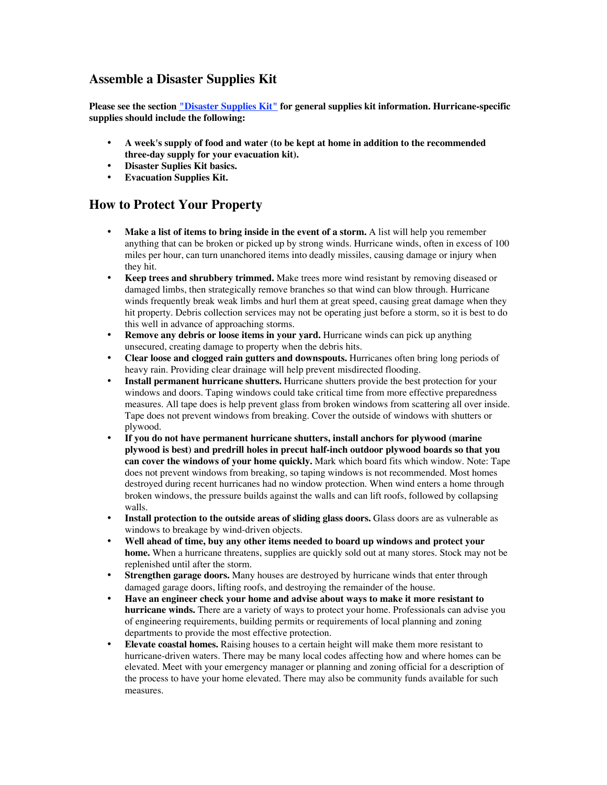#### **Assemble a Disaster Supplies Kit**

**Please see the section "Disaster Supplies Kit" for general supplies kit information. Hurricane-specific supplies should include the following:**

**A week's supply of food and water (to be kept at home in addition to the recommended three-day supply for your evacuation kit). Disaster Suplies Kit basics. Evacuation Supplies Kit.**

#### **How to Protect Your Property**

**Make a list of items to bring inside in the event of a storm.** A list will help you remember anything that can be broken or picked up by strong winds. Hurricane winds, often in excess of 100 miles per hour, can turn unanchored items into deadly missiles, causing damage or injury when they hit.

**Keep trees and shrubbery trimmed.** Make trees more wind resistant by removing diseased or damaged limbs, then strategically remove branches so that wind can blow through. Hurricane winds frequently break weak limbs and hurl them at great speed, causing great damage when they hit property. Debris collection services may not be operating just before a storm, so it is best to do this well in advance of approaching storms.

**Remove any debris or loose items in your yard.** Hurricane winds can pick up anything unsecured, creating damage to property when the debris hits.

**Clear loose and clogged rain gutters and downspouts.** Hurricanes often bring long periods of heavy rain. Providing clear drainage will help prevent misdirected flooding.

**Install permanent hurricane shutters.** Hurricane shutters provide the best protection for your windows and doors. Taping windows could take critical time from more effective preparedness measures. All tape does is help prevent glass from broken windows from scattering all over inside. Tape does not prevent windows from breaking. Cover the outside of windows with shutters or plywood.

**If you do not have permanent hurricane shutters, install anchors for plywood (marine plywood is best) and predrill holes in precut half-inch outdoor plywood boards so that you can cover the windows of your home quickly.** Mark which board fits which window. Note: Tape does not prevent windows from breaking, so taping windows is not recommended. Most homes destroyed during recent hurricanes had no window protection. When wind enters a home through broken windows, the pressure builds against the walls and can lift roofs, followed by collapsing walls.

**Install protection to the outside areas of sliding glass doors.** Glass doors are as vulnerable as windows to breakage by wind-driven objects.

**Well ahead of time, buy any other items needed to board up windows and protect your home.** When a hurricane threatens, supplies are quickly sold out at many stores. Stock may not be replenished until after the storm.

**Strengthen garage doors.** Many houses are destroyed by hurricane winds that enter through damaged garage doors, lifting roofs, and destroying the remainder of the house.

**Have an engineer check your home and advise about ways to make it more resistant to hurricane winds.** There are a variety of ways to protect your home. Professionals can advise you of engineering requirements, building permits or requirements of local planning and zoning departments to provide the most effective protection.

**Elevate coastal homes.** Raising houses to a certain height will make them more resistant to hurricane-driven waters. There may be many local codes affecting how and where homes can be elevated. Meet with your emergency manager or planning and zoning official for a description of the process to have your home elevated. There may also be community funds available for such measures.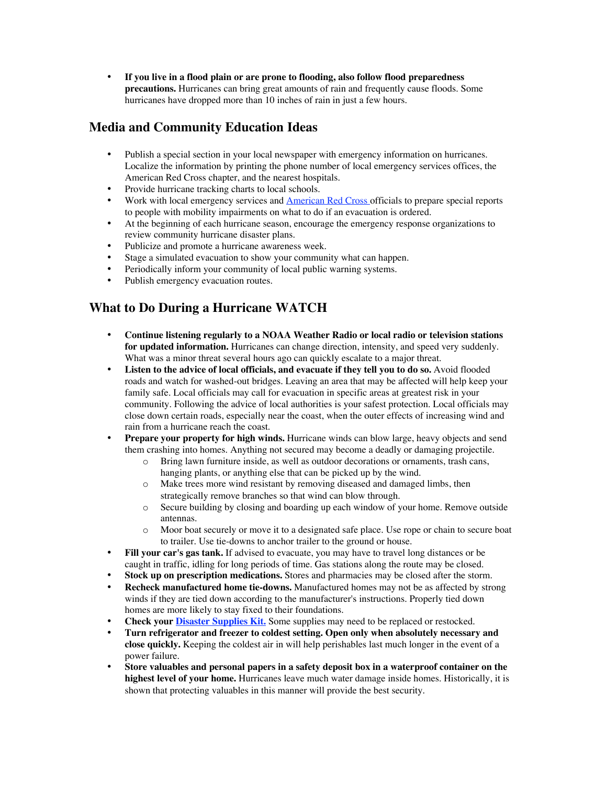#### **If you live in a flood plain or are prone to flooding, also follow flood preparedness**

**precautions.** Hurricanes can bring great amounts of rain and frequently cause floods. Some hurricanes have dropped more than 10 inches of rain in just a few hours.

# **Media and Community Education Ideas**

Publish a special section in your local newspaper with emergency information on hurricanes. Localize the information by printing the phone number of local emergency services offices, the American Red Cross chapter, and the nearest hospitals. Provide hurricane tracking charts to local schools. Work with local emergency services and American Red Cross officials to prepare special reports to people with mobility impairments on what to do if an evacuation is ordered. At the beginning of each hurricane season, encourage the emergency response organizations to review community hurricane disaster plans. Publicize and promote a hurricane awareness week. Stage a simulated evacuation to show your community what can happen. Periodically inform your community of local public warning systems. Publish emergency evacuation routes.

# **What to Do During a Hurricane WATCH**

**Continue listening regularly to a NOAA Weather Radio or local radio or television stations for updated information.** Hurricanes can change direction, intensity, and speed very suddenly. What was a minor threat several hours ago can quickly escalate to a major threat.

**Listen to the advice of local officials, and evacuate if they tell you to do so.** Avoid flooded roads and watch for washed-out bridges. Leaving an area that may be affected will help keep your family safe. Local officials may call for evacuation in specific areas at greatest risk in your community. Following the advice of local authorities is your safest protection. Local officials may close down certain roads, especially near the coast, when the outer effects of increasing wind and rain from a hurricane reach the coast.

**Prepare your property for high winds.** Hurricane winds can blow large, heavy objects and send them crashing into homes. Anything not secured may become a deadly or damaging projectile.

- o Bring lawn furniture inside, as well as outdoor decorations or ornaments, trash cans, hanging plants, or anything else that can be picked up by the wind.
- o Make trees more wind resistant by removing diseased and damaged limbs, then strategically remove branches so that wind can blow through.
- o Secure building by closing and boarding up each window of your home. Remove outside antennas.
- o Moor boat securely or move it to a designated safe place. Use rope or chain to secure boat to trailer. Use tie-downs to anchor trailer to the ground or house.

**Fill your car's gas tank.** If advised to evacuate, you may have to travel long distances or be caught in traffic, idling for long periods of time. Gas stations along the route may be closed. **Stock up on prescription medications.** Stores and pharmacies may be closed after the storm. **Recheck manufactured home tie-downs.** Manufactured homes may not be as affected by strong winds if they are tied down according to the manufacturer's instructions. Properly tied down homes are more likely to stay fixed to their foundations.

Check your **Disaster Supplies Kit.** Some supplies may need to be replaced or restocked. **Turn refrigerator and freezer to coldest setting. Open only when absolutely necessary and close quickly.** Keeping the coldest air in will help perishables last much longer in the event of a power failure.

**Store valuables and personal papers in a safety deposit box in a waterproof container on the highest level of your home.** Hurricanes leave much water damage inside homes. Historically, it is shown that protecting valuables in this manner will provide the best security.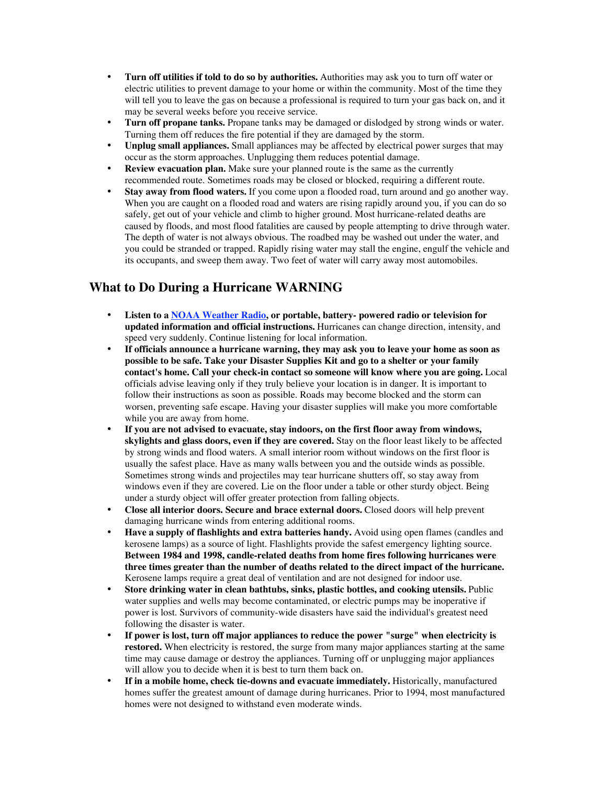**Turn off utilities if told to do so by authorities.** Authorities may ask you to turn off water or electric utilities to prevent damage to your home or within the community. Most of the time they will tell you to leave the gas on because a professional is required to turn your gas back on, and it may be several weeks before you receive service.

**Turn off propane tanks.** Propane tanks may be damaged or dislodged by strong winds or water. Turning them off reduces the fire potential if they are damaged by the storm.

**Unplug small appliances.** Small appliances may be affected by electrical power surges that may occur as the storm approaches. Unplugging them reduces potential damage.

**Review evacuation plan.** Make sure your planned route is the same as the currently recommended route. Sometimes roads may be closed or blocked, requiring a different route. **Stay away from flood waters.** If you come upon a flooded road, turn around and go another way. When you are caught on a flooded road and waters are rising rapidly around you, if you can do so safely, get out of your vehicle and climb to higher ground. Most hurricane-related deaths are caused by floods, and most flood fatalities are caused by people attempting to drive through water. The depth of water is not always obvious. The roadbed may be washed out under the water, and you could be stranded or trapped. Rapidly rising water may stall the engine, engulf the vehicle and its occupants, and sweep them away. Two feet of water will carry away most automobiles.

#### **What to Do During a Hurricane WARNING**

**Listen to a NOAA Weather Radio, or portable, battery- powered radio or television for updated information and official instructions.** Hurricanes can change direction, intensity, and speed very suddenly. Continue listening for local information.

**If officials announce a hurricane warning, they may ask you to leave your home as soon as possible to be safe. Take your Disaster Supplies Kit and go to a shelter or your family contact's home. Call your check-in contact so someone will know where you are going.** Local officials advise leaving only if they truly believe your location is in danger. It is important to follow their instructions as soon as possible. Roads may become blocked and the storm can worsen, preventing safe escape. Having your disaster supplies will make you more comfortable while you are away from home.

**If you are not advised to evacuate, stay indoors, on the first floor away from windows, skylights and glass doors, even if they are covered.** Stay on the floor least likely to be affected by strong winds and flood waters. A small interior room without windows on the first floor is usually the safest place. Have as many walls between you and the outside winds as possible. Sometimes strong winds and projectiles may tear hurricane shutters off, so stay away from windows even if they are covered. Lie on the floor under a table or other sturdy object. Being under a sturdy object will offer greater protection from falling objects.

**Close all interior doors. Secure and brace external doors.** Closed doors will help prevent damaging hurricane winds from entering additional rooms.

**Have a supply of flashlights and extra batteries handy.** Avoid using open flames (candles and kerosene lamps) as a source of light. Flashlights provide the safest emergency lighting source. **Between 1984 and 1998, candle-related deaths from home fires following hurricanes were three times greater than the number of deaths related to the direct impact of the hurricane.** Kerosene lamps require a great deal of ventilation and are not designed for indoor use. **Store drinking water in clean bathtubs, sinks, plastic bottles, and cooking utensils.** Public water supplies and wells may become contaminated, or electric pumps may be inoperative if power is lost. Survivors of community-wide disasters have said the individual's greatest need following the disaster is water.

**If power is lost, turn off major appliances to reduce the power "surge" when electricity is restored.** When electricity is restored, the surge from many major appliances starting at the same time may cause damage or destroy the appliances. Turning off or unplugging major appliances will allow you to decide when it is best to turn them back on.

**If in a mobile home, check tie-downs and evacuate immediately.** Historically, manufactured homes suffer the greatest amount of damage during hurricanes. Prior to 1994, most manufactured homes were not designed to withstand even moderate winds.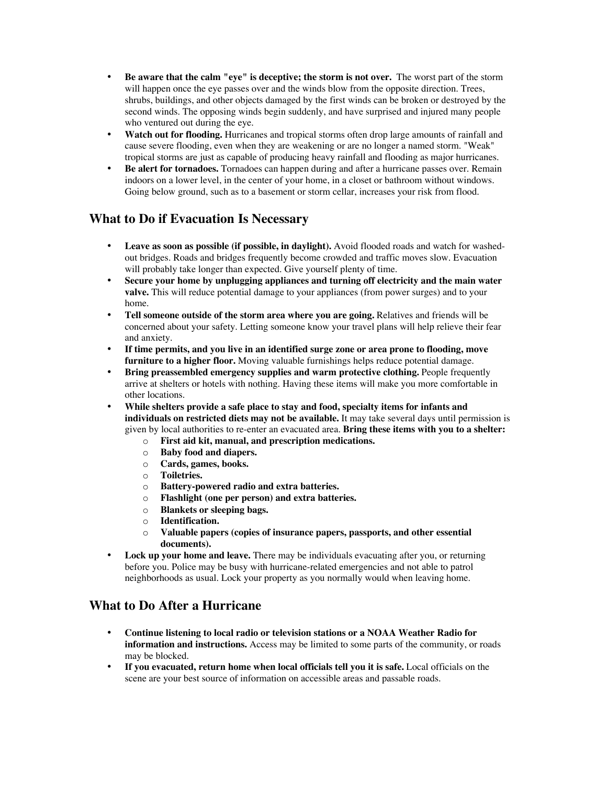**Be aware that the calm "eye" is deceptive; the storm is not over.**! The worst part of the storm will happen once the eye passes over and the winds blow from the opposite direction. Trees, shrubs, buildings, and other objects damaged by the first winds can be broken or destroyed by the second winds. The opposing winds begin suddenly, and have surprised and injured many people who ventured out during the eye.

**Watch out for flooding.** Hurricanes and tropical storms often drop large amounts of rainfall and cause severe flooding, even when they are weakening or are no longer a named storm. "Weak" tropical storms are just as capable of producing heavy rainfall and flooding as major hurricanes. **Be alert for tornadoes.** Tornadoes can happen during and after a hurricane passes over. Remain indoors on a lower level, in the center of your home, in a closet or bathroom without windows. Going below ground, such as to a basement or storm cellar, increases your risk from flood.

### **What to Do if Evacuation Is Necessary**

**Leave as soon as possible (if possible, in daylight).** Avoid flooded roads and watch for washedout bridges. Roads and bridges frequently become crowded and traffic moves slow. Evacuation will probably take longer than expected. Give yourself plenty of time.

**Secure your home by unplugging appliances and turning off electricity and the main water valve.** This will reduce potential damage to your appliances (from power surges) and to your home.

**Tell someone outside of the storm area where you are going.** Relatives and friends will be concerned about your safety. Letting someone know your travel plans will help relieve their fear and anxiety.

**If time permits, and you live in an identified surge zone or area prone to flooding, move furniture to a higher floor.** Moving valuable furnishings helps reduce potential damage. **Bring preassembled emergency supplies and warm protective clothing.** People frequently arrive at shelters or hotels with nothing. Having these items will make you more comfortable in other locations.

**While shelters provide a safe place to stay and food, specialty items for infants and individuals on restricted diets may not be available.** It may take several days until permission is given by local authorities to re-enter an evacuated area. **Bring these items with you to a shelter:**

- o **First aid kit, manual, and prescription medications.**
- o **Baby food and diapers.**
- o **Cards, games, books.**
- o **Toiletries.**
- o **Battery-powered radio and extra batteries.**
- o **Flashlight (one per person) and extra batteries.**
- o **Blankets or sleeping bags.**
- o **Identification.**
- o **Valuable papers (copies of insurance papers, passports, and other essential documents).**

**Lock up your home and leave.** There may be individuals evacuating after you, or returning before you. Police may be busy with hurricane-related emergencies and not able to patrol neighborhoods as usual. Lock your property as you normally would when leaving home.

# **What to Do After a Hurricane**

**Continue listening to local radio or television stations or a NOAA Weather Radio for information and instructions.** Access may be limited to some parts of the community, or roads may be blocked.

**If you evacuated, return home when local officials tell you it is safe.** Local officials on the scene are your best source of information on accessible areas and passable roads.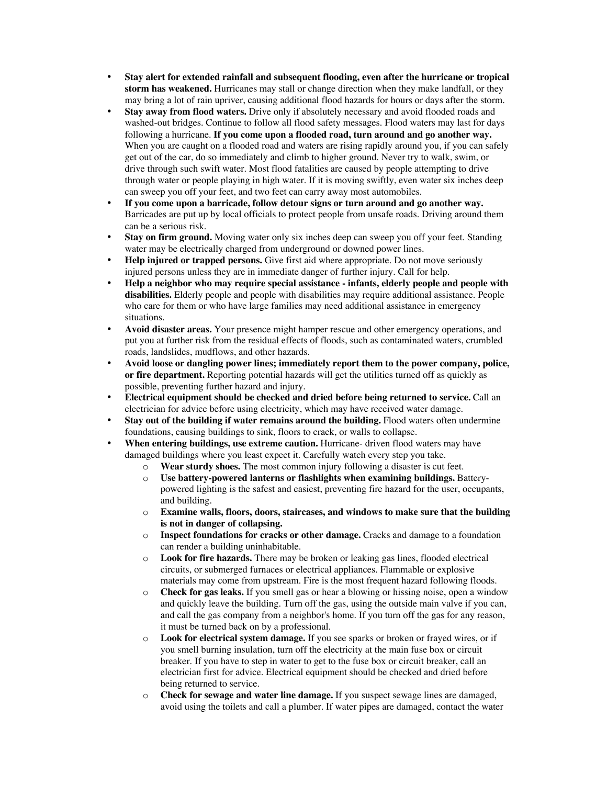**Stay alert for extended rainfall and subsequent flooding, even after the hurricane or tropical storm has weakened.** Hurricanes may stall or change direction when they make landfall, or they may bring a lot of rain upriver, causing additional flood hazards for hours or days after the storm. **Stay away from flood waters.** Drive only if absolutely necessary and avoid flooded roads and washed-out bridges. Continue to follow all flood safety messages. Flood waters may last for days following a hurricane. **If you come upon a flooded road, turn around and go another way.** When you are caught on a flooded road and waters are rising rapidly around you, if you can safely get out of the car, do so immediately and climb to higher ground. Never try to walk, swim, or drive through such swift water. Most flood fatalities are caused by people attempting to drive through water or people playing in high water. If it is moving swiftly, even water six inches deep can sweep you off your feet, and two feet can carry away most automobiles.

**If you come upon a barricade, follow detour signs or turn around and go another way.** Barricades are put up by local officials to protect people from unsafe roads. Driving around them can be a serious risk.

**Stay on firm ground.** Moving water only six inches deep can sweep you off your feet. Standing water may be electrically charged from underground or downed power lines.

**Help injured or trapped persons.** Give first aid where appropriate. Do not move seriously injured persons unless they are in immediate danger of further injury. Call for help.

**Help a neighbor who may require special assistance - infants, elderly people and people with disabilities.** Elderly people and people with disabilities may require additional assistance. People who care for them or who have large families may need additional assistance in emergency situations.

**Avoid disaster areas.** Your presence might hamper rescue and other emergency operations, and put you at further risk from the residual effects of floods, such as contaminated waters, crumbled roads, landslides, mudflows, and other hazards.

**Avoid loose or dangling power lines; immediately report them to the power company, police, or fire department.** Reporting potential hazards will get the utilities turned off as quickly as possible, preventing further hazard and injury.

**Electrical equipment should be checked and dried before being returned to service.** Call an electrician for advice before using electricity, which may have received water damage.

**Stay out of the building if water remains around the building.** Flood waters often undermine foundations, causing buildings to sink, floors to crack, or walls to collapse.

**When entering buildings, use extreme caution.** Hurricane- driven flood waters may have damaged buildings where you least expect it. Carefully watch every step you take.

o **Wear sturdy shoes.** The most common injury following a disaster is cut feet.

- o **Use battery-powered lanterns or flashlights when examining buildings.** Batterypowered lighting is the safest and easiest, preventing fire hazard for the user, occupants, and building.
- o **Examine walls, floors, doors, staircases, and windows to make sure that the building is not in danger of collapsing.**
- o **Inspect foundations for cracks or other damage.** Cracks and damage to a foundation can render a building uninhabitable.
- o **Look for fire hazards.** There may be broken or leaking gas lines, flooded electrical circuits, or submerged furnaces or electrical appliances. Flammable or explosive materials may come from upstream. Fire is the most frequent hazard following floods.
- o **Check for gas leaks.** If you smell gas or hear a blowing or hissing noise, open a window and quickly leave the building. Turn off the gas, using the outside main valve if you can, and call the gas company from a neighbor's home. If you turn off the gas for any reason, it must be turned back on by a professional.
- o **Look for electrical system damage.** If you see sparks or broken or frayed wires, or if you smell burning insulation, turn off the electricity at the main fuse box or circuit breaker. If you have to step in water to get to the fuse box or circuit breaker, call an electrician first for advice. Electrical equipment should be checked and dried before being returned to service.
- o **Check for sewage and water line damage.** If you suspect sewage lines are damaged, avoid using the toilets and call a plumber. If water pipes are damaged, contact the water